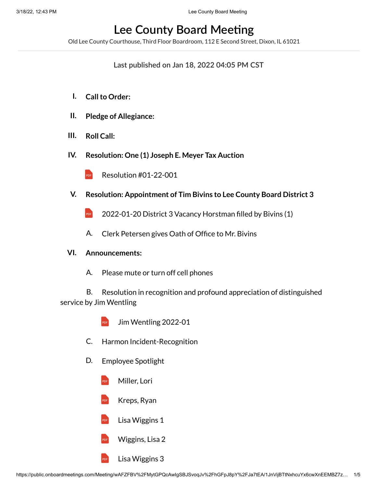# **Lee County Board Meeting**

Old Lee County Courthouse, Third Floor Boardroom, 112 E Second Street, Dixon, IL 61021

## **Last published on Jan 18, 2022 04:05 PM CST**

- **I. Callto Order:**
- **II. Pledge of Allegiance:**
- **III. Roll Call:**
- **IV. Resolution: One (1) Joseph E. Meyer Tax Auction**
	- PDF Resolution [#01-22-001](https://onboardprodpublic.blob.core.windows.net/1jnvijbttnxhcuyx6cwxneembz7zrc1xezuohc0hze4a/2eY5pwMVvnpShCDdmQtwwQ9s9H8QOotYV6fipBySGtYA/Resolution%20%2301-22-001.pdf)
- **V. Resolution: Appointment of Tim Bivins to Lee County Board District 3**
	- PDF [2022-01-20](https://onboardprodpublic.blob.core.windows.net/1jnvijbttnxhcuyx6cwxneembz7zrc1xezuohc0hze4a/3SYC8FUvrHDf8plROsILe1kFPhIfEkZfyGTvShWXENsA/2022-01-20%20District%203%20Vacancy%20Horstman%20filled%20by%20Bivins%20(1).pdf) District 3 Vacancy Horstman filled by Bivins (1)
	- A. Clerk Petersen gives Oath of Office to Mr. Bivins

### **VI. Announcements:**

A. Please mute or turn off cell phones

B. Resolution in recognition and profound appreciation of distinguished service by Jim Wentling

- PDF Jim [Wentling](https://onboardprodpublic.blob.core.windows.net/1jnvijbttnxhcuyx6cwxneembz7zrc1xezuohc0hze4a/NZUgvKheSmvvpf9eDYxOC9FX805abzAjTXFL8LX5OKYA/Jim%20Wentling%202022-01.pdf) 2022-01
- C. Harmon Incident-Recognition
- D. Employee Spotlight
	- PDF [Miller,](https://onboardprodpublic.blob.core.windows.net/1jnvijbttnxhcuyx6cwxneembz7zrc1xezuohc0hze4a/yC4kh3BhGzlxduxF0Z1XhGOfPLKRsyjQG6dA05H6szQA/Miller,%20Lori.pdf) Lori
	- PDF [Kreps,](https://onboardprodpublic.blob.core.windows.net/1jnvijbttnxhcuyx6cwxneembz7zrc1xezuohc0hze4a/f35XKk1InQxkBqMRnMHXumZ06ZpQeMWIffXkhIw0Yo4A/Kreps,%20Ryan.pdf) Ryan
	- PDF Lisa [Wiggins](https://onboardprodpublic.blob.core.windows.net/1jnvijbttnxhcuyx6cwxneembz7zrc1xezuohc0hze4a/YSIwNvKaWpSJjXIGCNW9xQnTo1K7zwaeUfeoP8wBVlcA/Lisa%20Wiggins%201.pdf) 1
	- PDF [Wiggins,](https://onboardprodpublic.blob.core.windows.net/1jnvijbttnxhcuyx6cwxneembz7zrc1xezuohc0hze4a/MiaJZYo48sgx3NtepAyF7YVaHoWuaYjLgQZ8mA9BNScA/Wiggins,%20Lisa%202.pdf) Lisa 2
	- PDF Lisa [Wiggins](https://onboardprodpublic.blob.core.windows.net/1jnvijbttnxhcuyx6cwxneembz7zrc1xezuohc0hze4a/CwQ4bumv4C2HJcPBWmdamoki6CSPePYQsKzBbeofZyUA/Lisa%20Wiggins%203.pdf) 3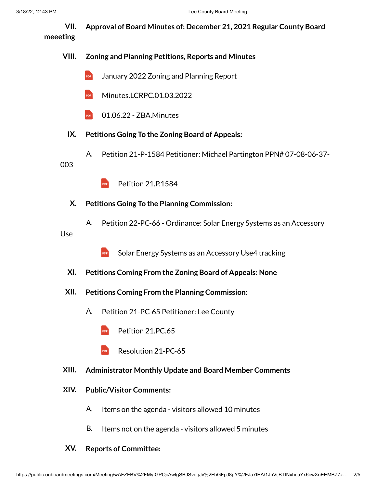**VII. Approval of Board Minutes of: December 21, 2021 Regular County Board meeeting**

**VIII. Zoning and Planning Petitions, Reports and Minutes**

- PDF January 2022 Zoning [and Planning](https://onboardprodpublic.blob.core.windows.net/1jnvijbttnxhcuyx6cwxneembz7zrc1xezuohc0hze4a/5RFkgbTfiY48p0u061QK8SYxAWrppVVa9tDHqmGFqZUA/January%202022%20Zoning%20and%20Planning%20Report.pdf) Report
- PDF [Minutes.LCRPC.01.03.2022](https://onboardprodpublic.blob.core.windows.net/1jnvijbttnxhcuyx6cwxneembz7zrc1xezuohc0hze4a/41JvZuCfwzyiiUmm8nkrthGxIvriEpiqkfvpSJnCkp4A/Minutes.LCRPC.01.03.2022.pdf)
- PDF 01.06.22 - [ZBA.Minutes](https://onboardprodpublic.blob.core.windows.net/1jnvijbttnxhcuyx6cwxneembz7zrc1xezuohc0hze4a/OiXqKsp1ht6dOfrNwS5ytA6WfRG1kZoLVXIpMbiqrVgA/01.06.22%20-%20ZBA.Minutes.pdf)
- **IX. Petitions Going To the Zoning Board of Appeals:**
	- A. Petition 21-P-1584 Petitioner: Michael Partington PPN# 07-08-06-37-

003

- PDF Petition [21.P.1584](https://onboardprodpublic.blob.core.windows.net/1jnvijbttnxhcuyx6cwxneembz7zrc1xezuohc0hze4a/921cfnbxR84iihMRu4ZvoViZluLoEpHuqhWDwpMZeZYA/Petition%2021.P.1584.pdf)
- **X. Petitions Going To the Planning Commission:**
- A. Petition 22-PC-66 - Ordinance: Solar Energy Systems as an Accessory Use
	- PDF Solar Energy Systems as an [Accessory](https://onboardprodpublic.blob.core.windows.net/1jnvijbttnxhcuyx6cwxneembz7zrc1xezuohc0hze4a/YXyiAczZDLb6gyFihf5ugrmNBaSkQ5paLNNHipPIoqEA/Solar%20Energy%20Systems%20as%20an%20Accessory%20Use4%20tracking.pdf) Use4 tracking
	- **XI. Petitions Coming From the Zoning Board of Appeals: None**
	- **XII. Petitions Coming From the Planning Commission:**
		- A. Petition 21-PC-65 Petitioner: Lee County
			- PDF Petition [21.PC.65](https://onboardprodpublic.blob.core.windows.net/1jnvijbttnxhcuyx6cwxneembz7zrc1xezuohc0hze4a/tf8ywTsMgZfgqifvJdhpeOJCC8dXhquPzON9GLNE2h4A/Petition%2021.PC.65.pdf)
			- PDF [Resolution](https://onboardprodpublic.blob.core.windows.net/1jnvijbttnxhcuyx6cwxneembz7zrc1xezuohc0hze4a/AF45qVzKphUGKmwp2XwuoEN75B07AiG4fXSDH5e5NpMA/Resolution%2021-PC-65.pdf) 21-PC-65
- **XIII. Administrator Monthly Update and Board Member Comments**
- **XIV. Public/Visitor Comments:**
	- A. Items on the agenda - visitors allowed 10 minutes
	- B. Items not on the agenda - visitors allowed 5 minutes
- **XV. Reports of Committee:**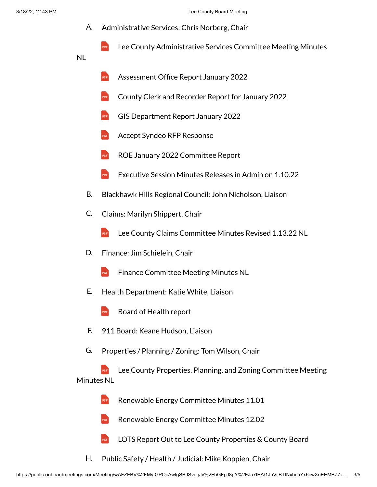- A. Administrative Services: Chris Norberg, Chair
	- PDF Lee County [Administrative](https://onboardprodpublic.blob.core.windows.net/1jnvijbttnxhcuyx6cwxneembz7zrc1xezuohc0hze4a/KkKqN21LLf9XeykIlOGpfPbqZ3YAWQuDVERMGBRAsa8A/Lee%20County%20Administrative%20Services%20Committee%20Meeting%20Minutes%20NL.pdf) Services Committee Meeting Minutes
- NL
- PDF [Assessment](https://onboardprodpublic.blob.core.windows.net/1jnvijbttnxhcuyx6cwxneembz7zrc1xezuohc0hze4a/7mhsqoWzeWPdvRxpon2Rb4cwS9RUwxkwFbkzq4vH08EA/Assessment%20Office%20Report%20January%202022.pdf) Office Report January 2022
- PDF County Clerk [and Recorder](https://onboardprodpublic.blob.core.windows.net/1jnvijbttnxhcuyx6cwxneembz7zrc1xezuohc0hze4a/j2nIfkZU7FGmf4SXHsw7Rcl0tg8f91pEUWynAj2zlJoA/County%20Clerk%20and%20Recorder%20Report%20for%20January%202022.pdf) Report for January 2022
- PDF GIS [Department](https://onboardprodpublic.blob.core.windows.net/1jnvijbttnxhcuyx6cwxneembz7zrc1xezuohc0hze4a/RXjx6RpUnwQR6aJtW54BwHA3pBe80WaEUehkuiSaIaAA/GIS%20Department%20Report%20January%202022.pdf) Report January 2022
- PDF Accept Syndeo RFP [Response](https://onboardprodpublic.blob.core.windows.net/1jnvijbttnxhcuyx6cwxneembz7zrc1xezuohc0hze4a/Mdy9PJ091BGgRVSlSVAdvtWeq1nZogfVfFsDi3Uckz4A/Accept%20Syndeo%20RFP%20Response.pdf)
- PDF ROE January 2022 [Committee](https://onboardprodpublic.blob.core.windows.net/1jnvijbttnxhcuyx6cwxneembz7zrc1xezuohc0hze4a/HXlg289q1Js4zlMEWplUz9mHew7Eqf6fp3GfCsOSfKMA/ROE%20January%20%202022%20Committee%20Report.pdf) Report
- PDF [Executive](https://onboardprodpublic.blob.core.windows.net/1jnvijbttnxhcuyx6cwxneembz7zrc1xezuohc0hze4a/uonGz35tKJojX053x7yPI0t3QKcrSGt4r3NkoxGpzAQA/Executive%20Session%20Minutes%20Releases%20in%20Admin%20on%201.10.22.pdf) Session Minutes Releases in Admin on 1.10.22
- B. Blackhawk Hills Regional Council: John Nicholson, Liaison
- C. Claims: Marilyn Shippert, Chair
	- PDF Lee County Claims Committee Minutes [Revised 1.13.22](https://onboardprodpublic.blob.core.windows.net/1jnvijbttnxhcuyx6cwxneembz7zrc1xezuohc0hze4a/ro4fM2rj25EzSfuh34mh1MBtf55t2dx6gSZVzJgpd14A/Lee%20County%20Claims%20Committee%20%20Minutes%20Revised%201.13.22%20NL.pdf) NL
- D. Finance: Jim Schielein, Chair
	- PDF Finance [Committee](https://onboardprodpublic.blob.core.windows.net/1jnvijbttnxhcuyx6cwxneembz7zrc1xezuohc0hze4a/j8TCKupanU7p9SBJgBnEW8X2mBx2ytkUmFxLPRDawJ0A/Finance%20Committee%20Meeting%20Minutes%20NL.pdf) Meeting Minutes NL
- E. Health Department: Katie White, Liaison
	- PDF [Board of](https://onboardprodpublic.blob.core.windows.net/1jnvijbttnxhcuyx6cwxneembz7zrc1xezuohc0hze4a/k55Mh0LwOtwj406bUfegXf2VqKeTKm6nMa7kqo4wdgQA/Board%20of%20Health%20report.pdf) Health report
- F. 911 Board: Keane Hudson, Liaison
- G. Properties / Planning / Zoning: Tom Wilson, Chair

PDF Lee County Properties, Planning, and Zoning [Committee](https://onboardprodpublic.blob.core.windows.net/1jnvijbttnxhcuyx6cwxneembz7zrc1xezuohc0hze4a/4cJfrF4IubAghKo1xPhs6QqrYkoV0PiPs2630qpqjgoA/Lee%20County%20Properties,%20Planning,%20and%20Zoning%20Committee%20Meeting%20Minutes%20NL.pdf) Meeting Minutes NL

- PDF Renewable Energy [Committee](https://onboardprodpublic.blob.core.windows.net/1jnvijbttnxhcuyx6cwxneembz7zrc1xezuohc0hze4a/kN13pRsZWiQeTQdFhls8BpDmFAYCUchpIF7R4wTuTC4A/Renewable%20Energy%20Committee%20Minutes%2011.01.pdf) Minutes 11.01
- PDF Renewable Energy [Committee](https://onboardprodpublic.blob.core.windows.net/1jnvijbttnxhcuyx6cwxneembz7zrc1xezuohc0hze4a/puaDGCQH1fTeLcO1nnzGeEUDpUppOpmx6jhjVfGH5bsA/Renewable%20Energy%20Committee%20Minutes%2012.02.pdf) Minutes 12.02
- PDF LOTS Report Out to Lee County [Properties](https://onboardprodpublic.blob.core.windows.net/1jnvijbttnxhcuyx6cwxneembz7zrc1xezuohc0hze4a/ljRxOQUNRpQej8ovbVYvqoIzmNmuEbgKbQogjDdiHnYA/LOTS%20Report%20Out%20to%20Lee%20County%20Properties%20&%20County%20Board.pdf) & County Board
- H. Public Safety / Health / Judicial: Mike Koppien, Chair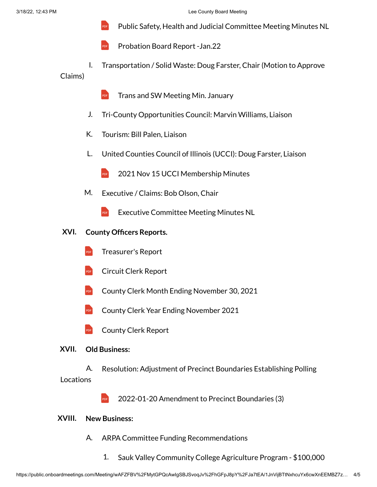- PDF [Public Safety,](https://onboardprodpublic.blob.core.windows.net/1jnvijbttnxhcuyx6cwxneembz7zrc1xezuohc0hze4a/9dE7CeLBlMnefrtahna20lFZyUfG42CDBFq4TUKV498A/Public%20Safety,%20Health%20and%20Judicial%20Committee%20Meeting%20Minutes%20NL.pdf) Health and Judicial Committee Meeting Minutes NL
- PDF Probation [Board Report](https://onboardprodpublic.blob.core.windows.net/1jnvijbttnxhcuyx6cwxneembz7zrc1xezuohc0hze4a/3lL7yThu7iHkxXc6BQSYDJFyPburpB3TT7pzBWW81wkA/Probation%20Board%20Report%20-Jan.22.pdf) -Jan.22
- I. Transportation / Solid Waste: Doug Farster, Chair (Motion to Approve Claims)
	- PDF Trans [and SW Meeting](https://onboardprodpublic.blob.core.windows.net/1jnvijbttnxhcuyx6cwxneembz7zrc1xezuohc0hze4a/Y8XgKrmEIKF2dPb8bP4plRX8pex4gxV7Cqp1zVobq9YA/Trans%20and%20SW%20Meeting%20Min.%20January.pdf) Min. January
	- J. Tri-County Opportunities Council: Marvin Williams, Liaison
	- K. Tourism: Bill Palen, Liaison
	- L. United Counties Council of Illinois (UCCI): Doug Farster, Liaison
		- PDF 2021 Nov 15 UCCI [Membership](https://onboardprodpublic.blob.core.windows.net/1jnvijbttnxhcuyx6cwxneembz7zrc1xezuohc0hze4a/QTfpFcbfEey3kFPqqTl3VyWPjqbJna3sHrHk8imxdiUA/2021%20Nov%2015%20UCCI%20Membership%20Minutes.pdf) Minutes
	- M. Executive / Claims: Bob Olson, Chair
		- PDF Executive [Committee](https://onboardprodpublic.blob.core.windows.net/1jnvijbttnxhcuyx6cwxneembz7zrc1xezuohc0hze4a/SYfBDi2nGZCywEBvMScJO0bQtKnAOmj3M0X4S7uer68A/Executive%20Committee%20Meeting%20Minutes%20NL.pdf) Meeting Minutes NL
- **XVI. County Officers Reports.**
	- PDF [Treasurer's](https://onboardprodpublic.blob.core.windows.net/1jnvijbttnxhcuyx6cwxneembz7zrc1xezuohc0hze4a/hOR0xfxp7KiModx24gdGwM1yBuKqf2PSgmGgkPsneW8A/Treasurer) Report
	- PDF Circuit Clerk [Report](https://onboardprodpublic.blob.core.windows.net/1jnvijbttnxhcuyx6cwxneembz7zrc1xezuohc0hze4a/3xCbNvVoYnFYWvGJOZrspAJ4EjwcKGCC4cpQKRsDR6oA/Circuit%20Clerk%20Report.pdf)
	- PDF County Clerk Month Ending [November](https://onboardprodpublic.blob.core.windows.net/1jnvijbttnxhcuyx6cwxneembz7zrc1xezuohc0hze4a/MDro2w03itp4RAUXUpEVLWcCt4wkvdagDnDqexL1qX0A/County%20Clerk%20Month%20Ending%20November%2030,%202021.pdf) 30, 2021
	- PDF County Clerk Year Ending [November](https://onboardprodpublic.blob.core.windows.net/1jnvijbttnxhcuyx6cwxneembz7zrc1xezuohc0hze4a/caBT0G4MZgmDiylMbAahG3UddvWHAld8p0pIbTVkf04A/County%20Clerk%20Year%20Ending%20November%202021.pdf) 2021
	- PDF [County](https://onboardprodpublic.blob.core.windows.net/1jnvijbttnxhcuyx6cwxneembz7zrc1xezuohc0hze4a/fe6DaG1DLxWsbxgMpS3qOEGifI9A9V6CJpJWfDwEHxQA/County%20Clerk%20Report.pdf) Clerk Report

#### **XVII. Old Business:**

A. Resolution: Adjustment of Precinct Boundaries Establishing Polling **Locations** 

> PDF 2022-01-20 [Amendment](https://onboardprodpublic.blob.core.windows.net/1jnvijbttnxhcuyx6cwxneembz7zrc1xezuohc0hze4a/pSw37huKGPf1BXOMf1QAHDjbdlQAkpVrMfHhnRlLW30A/2022-01-20%20Amendment%20to%20Precinct%20Boundaries%20(3).pdf) to Precinct Boundaries (3)

#### **XVIII. New Business:**

- A. ARPA Committee Funding Recommendations
	- 1. Sauk Valley Community College Agriculture Program - \$100,000